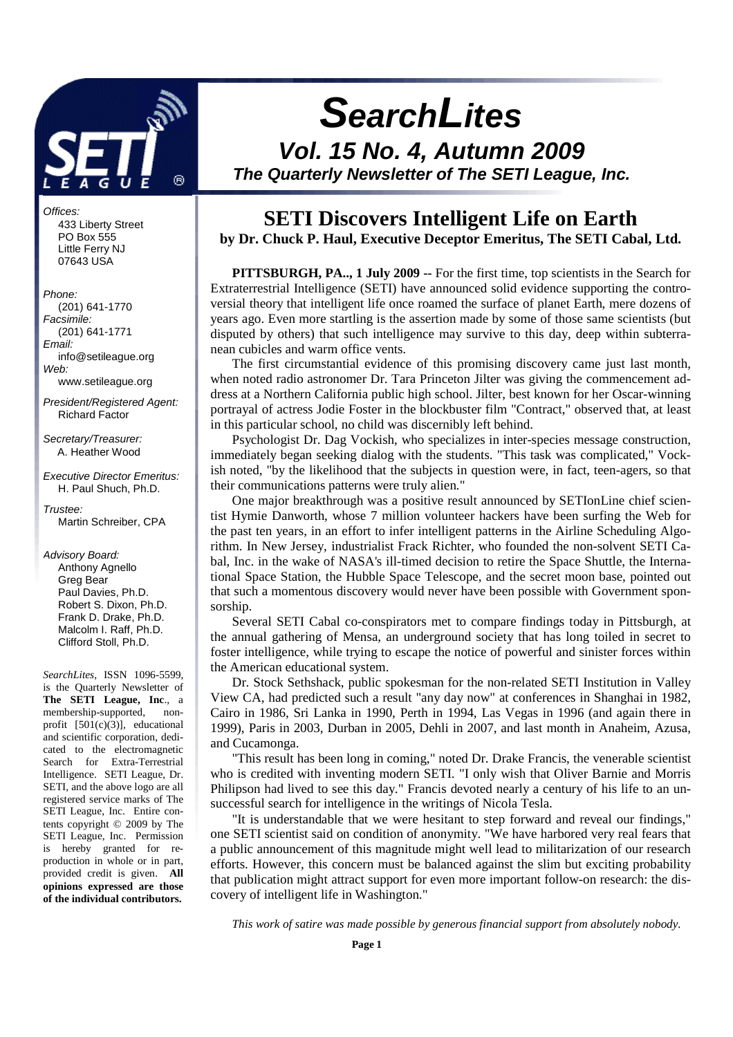

Offices: 433 Liberty Street PO Box 555 Little Ferry NJ 07643 USA

#### Phone:

 (201) 641-1770 Facsimile: (201) 641-1771 Email: info@setileague.org Web: www.setileague.org

President/Registered Agent: Richard Factor

Secretary/Treasurer: A. Heather Wood

Executive Director Emeritus: H. Paul Shuch, Ph.D.

Trustee: Martin Schreiber, CPA

Advisory Board:

 Anthony Agnello Greg Bear Paul Davies, Ph.D. Robert S. Dixon, Ph.D. Frank D. Drake, Ph.D. Malcolm I. Raff, Ph.D. Clifford Stoll, Ph.D.

*SearchLites*, ISSN 1096-5599, is the Quarterly Newsletter of **The SETI League, Inc**., a membership-supported, nonprofit  $[501(c)(3)]$ , educational and scientific corporation, dedicated to the electromagnetic Search for Extra-Terrestrial Intelligence. SETI League, Dr. SETI, and the above logo are all registered service marks of The SETI League, Inc. Entire contents copyright © 2009 by The SETI League, Inc. Permission is hereby granted for reproduction in whole or in part, provided credit is given. **All opinions expressed are those of the individual contributors.** 

# **SearchLites**

**Vol. 15 No. 4, Autumn 2009 The Quarterly Newsletter of The SETI League, Inc.** 

# **SETI Discovers Intelligent Life on Earth**

**by Dr. Chuck P. Haul, Executive Deceptor Emeritus, The SETI Cabal, Ltd.**

**PITTSBURGH, PA.., 1 July 2009 --** For the first time, top scientists in the Search for Extraterrestrial Intelligence (SETI) have announced solid evidence supporting the controversial theory that intelligent life once roamed the surface of planet Earth, mere dozens of years ago. Even more startling is the assertion made by some of those same scientists (but disputed by others) that such intelligence may survive to this day, deep within subterranean cubicles and warm office vents.

The first circumstantial evidence of this promising discovery came just last month, when noted radio astronomer Dr. Tara Princeton Jilter was giving the commencement address at a Northern California public high school. Jilter, best known for her Oscar-winning portrayal of actress Jodie Foster in the blockbuster film "Contract," observed that, at least in this particular school, no child was discernibly left behind.

Psychologist Dr. Dag Vockish, who specializes in inter-species message construction, immediately began seeking dialog with the students. "This task was complicated," Vockish noted, "by the likelihood that the subjects in question were, in fact, teen-agers, so that their communications patterns were truly alien."

One major breakthrough was a positive result announced by SETIonLine chief scientist Hymie Danworth, whose 7 million volunteer hackers have been surfing the Web for the past ten years, in an effort to infer intelligent patterns in the Airline Scheduling Algorithm. In New Jersey, industrialist Frack Richter, who founded the non-solvent SETI Cabal, Inc. in the wake of NASA's ill-timed decision to retire the Space Shuttle, the International Space Station, the Hubble Space Telescope, and the secret moon base, pointed out that such a momentous discovery would never have been possible with Government sponsorship.

Several SETI Cabal co-conspirators met to compare findings today in Pittsburgh, at the annual gathering of Mensa, an underground society that has long toiled in secret to foster intelligence, while trying to escape the notice of powerful and sinister forces within the American educational system.

Dr. Stock Sethshack, public spokesman for the non-related SETI Institution in Valley View CA, had predicted such a result "any day now" at conferences in Shanghai in 1982, Cairo in 1986, Sri Lanka in 1990, Perth in 1994, Las Vegas in 1996 (and again there in 1999), Paris in 2003, Durban in 2005, Dehli in 2007, and last month in Anaheim, Azusa, and Cucamonga.

"This result has been long in coming," noted Dr. Drake Francis, the venerable scientist who is credited with inventing modern SETI. "I only wish that Oliver Barnie and Morris Philipson had lived to see this day." Francis devoted nearly a century of his life to an unsuccessful search for intelligence in the writings of Nicola Tesla.

"It is understandable that we were hesitant to step forward and reveal our findings," one SETI scientist said on condition of anonymity. "We have harbored very real fears that a public announcement of this magnitude might well lead to militarization of our research efforts. However, this concern must be balanced against the slim but exciting probability that publication might attract support for even more important follow-on research: the discovery of intelligent life in Washington."

*This work of satire was made possible by generous financial support from absolutely nobody.*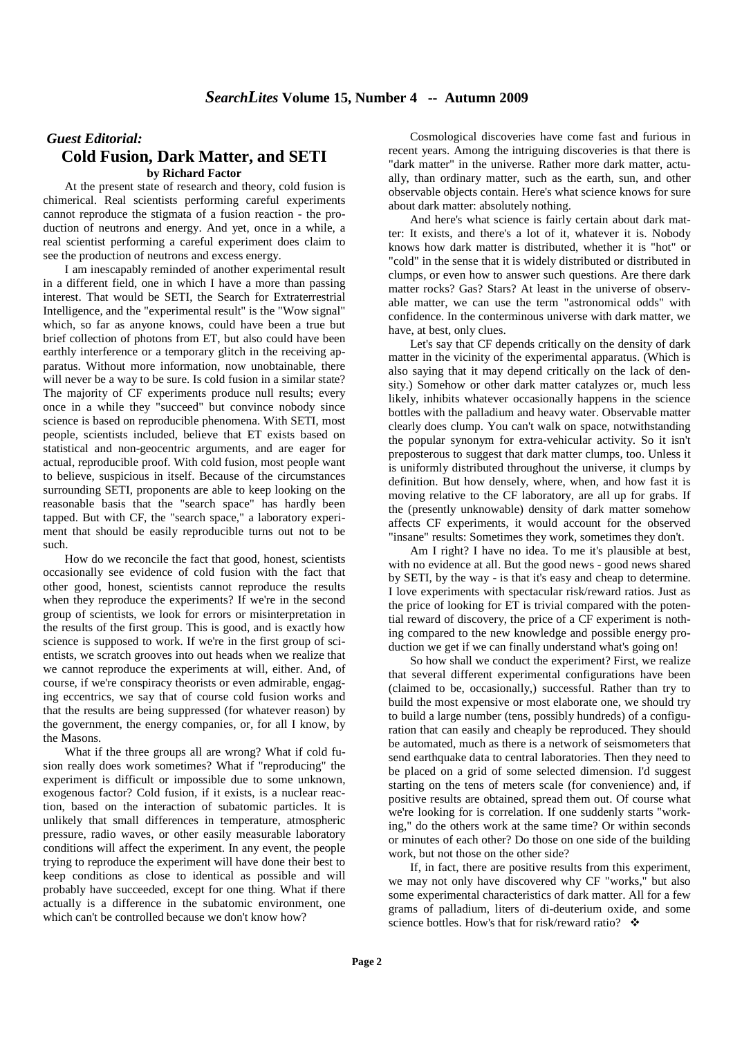## *Guest Editorial:*  **Cold Fusion, Dark Matter, and SETI by Richard Factor**

At the present state of research and theory, cold fusion is chimerical. Real scientists performing careful experiments cannot reproduce the stigmata of a fusion reaction - the production of neutrons and energy. And yet, once in a while, a real scientist performing a careful experiment does claim to see the production of neutrons and excess energy.

I am inescapably reminded of another experimental result in a different field, one in which I have a more than passing interest. That would be SETI, the Search for Extraterrestrial Intelligence, and the "experimental result" is the "Wow signal" which, so far as anyone knows, could have been a true but brief collection of photons from ET, but also could have been earthly interference or a temporary glitch in the receiving apparatus. Without more information, now unobtainable, there will never be a way to be sure. Is cold fusion in a similar state? The majority of CF experiments produce null results; every once in a while they "succeed" but convince nobody since science is based on reproducible phenomena. With SETI, most people, scientists included, believe that ET exists based on statistical and non-geocentric arguments, and are eager for actual, reproducible proof. With cold fusion, most people want to believe, suspicious in itself. Because of the circumstances surrounding SETI, proponents are able to keep looking on the reasonable basis that the "search space" has hardly been tapped. But with CF, the "search space," a laboratory experiment that should be easily reproducible turns out not to be such.

How do we reconcile the fact that good, honest, scientists occasionally see evidence of cold fusion with the fact that other good, honest, scientists cannot reproduce the results when they reproduce the experiments? If we're in the second group of scientists, we look for errors or misinterpretation in the results of the first group. This is good, and is exactly how science is supposed to work. If we're in the first group of scientists, we scratch grooves into out heads when we realize that we cannot reproduce the experiments at will, either. And, of course, if we're conspiracy theorists or even admirable, engaging eccentrics, we say that of course cold fusion works and that the results are being suppressed (for whatever reason) by the government, the energy companies, or, for all I know, by the Masons.

What if the three groups all are wrong? What if cold fusion really does work sometimes? What if "reproducing" the experiment is difficult or impossible due to some unknown, exogenous factor? Cold fusion, if it exists, is a nuclear reaction, based on the interaction of subatomic particles. It is unlikely that small differences in temperature, atmospheric pressure, radio waves, or other easily measurable laboratory conditions will affect the experiment. In any event, the people trying to reproduce the experiment will have done their best to keep conditions as close to identical as possible and will probably have succeeded, except for one thing. What if there actually is a difference in the subatomic environment, one which can't be controlled because we don't know how?

Cosmological discoveries have come fast and furious in recent years. Among the intriguing discoveries is that there is "dark matter" in the universe. Rather more dark matter, actually, than ordinary matter, such as the earth, sun, and other observable objects contain. Here's what science knows for sure about dark matter: absolutely nothing.

And here's what science is fairly certain about dark matter: It exists, and there's a lot of it, whatever it is. Nobody knows how dark matter is distributed, whether it is "hot" or "cold" in the sense that it is widely distributed or distributed in clumps, or even how to answer such questions. Are there dark matter rocks? Gas? Stars? At least in the universe of observable matter, we can use the term "astronomical odds" with confidence. In the conterminous universe with dark matter, we have, at best, only clues.

Let's say that CF depends critically on the density of dark matter in the vicinity of the experimental apparatus. (Which is also saying that it may depend critically on the lack of density.) Somehow or other dark matter catalyzes or, much less likely, inhibits whatever occasionally happens in the science bottles with the palladium and heavy water. Observable matter clearly does clump. You can't walk on space, notwithstanding the popular synonym for extra-vehicular activity. So it isn't preposterous to suggest that dark matter clumps, too. Unless it is uniformly distributed throughout the universe, it clumps by definition. But how densely, where, when, and how fast it is moving relative to the CF laboratory, are all up for grabs. If the (presently unknowable) density of dark matter somehow affects CF experiments, it would account for the observed "insane" results: Sometimes they work, sometimes they don't.

Am I right? I have no idea. To me it's plausible at best, with no evidence at all. But the good news - good news shared by SETI, by the way - is that it's easy and cheap to determine. I love experiments with spectacular risk/reward ratios. Just as the price of looking for ET is trivial compared with the potential reward of discovery, the price of a CF experiment is nothing compared to the new knowledge and possible energy production we get if we can finally understand what's going on!

So how shall we conduct the experiment? First, we realize that several different experimental configurations have been (claimed to be, occasionally,) successful. Rather than try to build the most expensive or most elaborate one, we should try to build a large number (tens, possibly hundreds) of a configuration that can easily and cheaply be reproduced. They should be automated, much as there is a network of seismometers that send earthquake data to central laboratories. Then they need to be placed on a grid of some selected dimension. I'd suggest starting on the tens of meters scale (for convenience) and, if positive results are obtained, spread them out. Of course what we're looking for is correlation. If one suddenly starts "working," do the others work at the same time? Or within seconds or minutes of each other? Do those on one side of the building work, but not those on the other side?

If, in fact, there are positive results from this experiment, we may not only have discovered why CF "works," but also some experimental characteristics of dark matter. All for a few grams of palladium, liters of di-deuterium oxide, and some science bottles. How's that for risk/reward ratio?  $\cdot$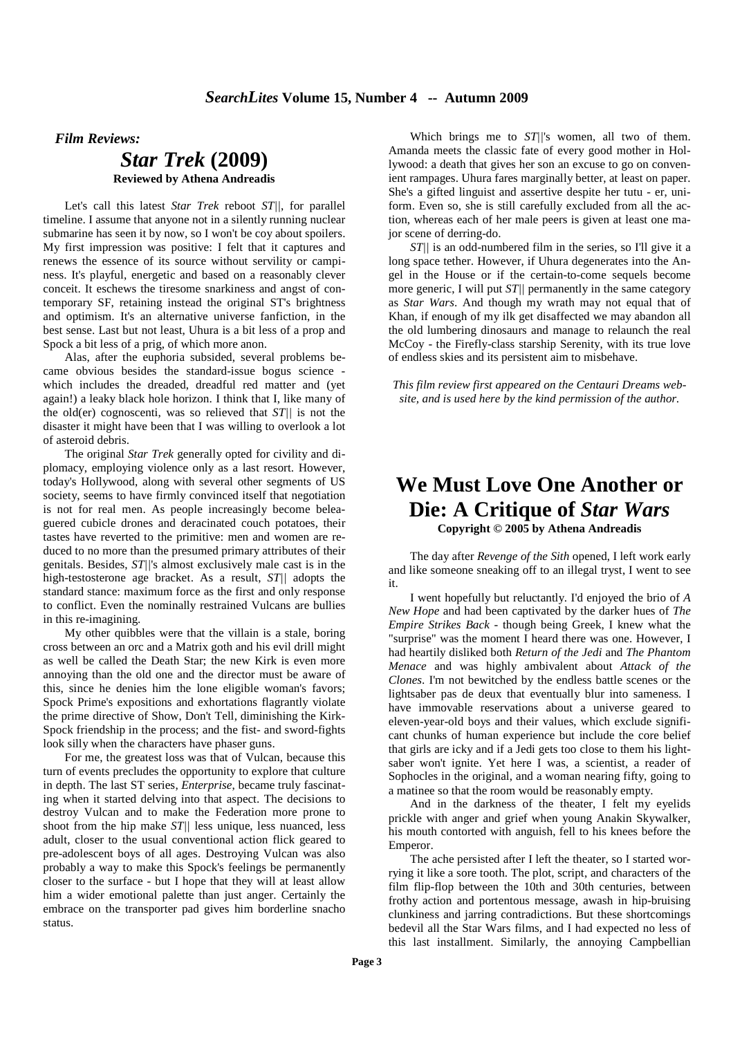*Film Reviews:*

## *Star Trek* **(2009) Reviewed by Athena Andreadis**

Let's call this latest *Star Trek* reboot *ST||*, for parallel timeline. I assume that anyone not in a silently running nuclear submarine has seen it by now, so I won't be coy about spoilers. My first impression was positive: I felt that it captures and renews the essence of its source without servility or campiness. It's playful, energetic and based on a reasonably clever conceit. It eschews the tiresome snarkiness and angst of contemporary SF, retaining instead the original ST's brightness and optimism. It's an alternative universe fanfiction, in the best sense. Last but not least, Uhura is a bit less of a prop and Spock a bit less of a prig, of which more anon.

Alas, after the euphoria subsided, several problems became obvious besides the standard-issue bogus science which includes the dreaded, dreadful red matter and (yet again!) a leaky black hole horizon. I think that I, like many of the old(er) cognoscenti, was so relieved that *ST||* is not the disaster it might have been that I was willing to overlook a lot of asteroid debris.

The original *Star Trek* generally opted for civility and diplomacy, employing violence only as a last resort. However, today's Hollywood, along with several other segments of US society, seems to have firmly convinced itself that negotiation is not for real men. As people increasingly become beleaguered cubicle drones and deracinated couch potatoes, their tastes have reverted to the primitive: men and women are reduced to no more than the presumed primary attributes of their genitals. Besides, *ST||*'s almost exclusively male cast is in the high-testosterone age bracket. As a result, *ST||* adopts the standard stance: maximum force as the first and only response to conflict. Even the nominally restrained Vulcans are bullies in this re-imagining.

My other quibbles were that the villain is a stale, boring cross between an orc and a Matrix goth and his evil drill might as well be called the Death Star; the new Kirk is even more annoying than the old one and the director must be aware of this, since he denies him the lone eligible woman's favors; Spock Prime's expositions and exhortations flagrantly violate the prime directive of Show, Don't Tell, diminishing the Kirk-Spock friendship in the process; and the fist- and sword-fights look silly when the characters have phaser guns.

For me, the greatest loss was that of Vulcan, because this turn of events precludes the opportunity to explore that culture in depth. The last ST series, *Enterprise*, became truly fascinating when it started delving into that aspect. The decisions to destroy Vulcan and to make the Federation more prone to shoot from the hip make *ST||* less unique, less nuanced, less adult, closer to the usual conventional action flick geared to pre-adolescent boys of all ages. Destroying Vulcan was also probably a way to make this Spock's feelings be permanently closer to the surface - but I hope that they will at least allow him a wider emotional palette than just anger. Certainly the embrace on the transporter pad gives him borderline snacho status.

Which brings me to *ST||*'s women, all two of them. Amanda meets the classic fate of every good mother in Hollywood: a death that gives her son an excuse to go on convenient rampages. Uhura fares marginally better, at least on paper. She's a gifted linguist and assertive despite her tutu - er, uniform. Even so, she is still carefully excluded from all the action, whereas each of her male peers is given at least one major scene of derring-do.

*ST||* is an odd-numbered film in the series, so I'll give it a long space tether. However, if Uhura degenerates into the Angel in the House or if the certain-to-come sequels become more generic, I will put *ST||* permanently in the same category as *Star Wars*. And though my wrath may not equal that of Khan, if enough of my ilk get disaffected we may abandon all the old lumbering dinosaurs and manage to relaunch the real McCoy - the Firefly-class starship Serenity, with its true love of endless skies and its persistent aim to misbehave.

*This film review first appeared on the Centauri Dreams website, and is used here by the kind permission of the author.*

# **We Must Love One Another or Die: A Critique of** *Star Wars*  **Copyright © 2005 by Athena Andreadis**

The day after *Revenge of the Sith* opened, I left work early and like someone sneaking off to an illegal tryst, I went to see it.

I went hopefully but reluctantly. I'd enjoyed the brio of *A New Hope* and had been captivated by the darker hues of *The Empire Strikes Back* - though being Greek, I knew what the "surprise" was the moment I heard there was one. However, I had heartily disliked both *Return of the Jedi* and *The Phantom Menace* and was highly ambivalent about *Attack of the Clones*. I'm not bewitched by the endless battle scenes or the lightsaber pas de deux that eventually blur into sameness. I have immovable reservations about a universe geared to eleven-year-old boys and their values, which exclude significant chunks of human experience but include the core belief that girls are icky and if a Jedi gets too close to them his lightsaber won't ignite. Yet here I was, a scientist, a reader of Sophocles in the original, and a woman nearing fifty, going to a matinee so that the room would be reasonably empty.

And in the darkness of the theater, I felt my eyelids prickle with anger and grief when young Anakin Skywalker, his mouth contorted with anguish, fell to his knees before the Emperor.

The ache persisted after I left the theater, so I started worrying it like a sore tooth. The plot, script, and characters of the film flip-flop between the 10th and 30th centuries, between frothy action and portentous message, awash in hip-bruising clunkiness and jarring contradictions. But these shortcomings bedevil all the Star Wars films, and I had expected no less of this last installment. Similarly, the annoying Campbellian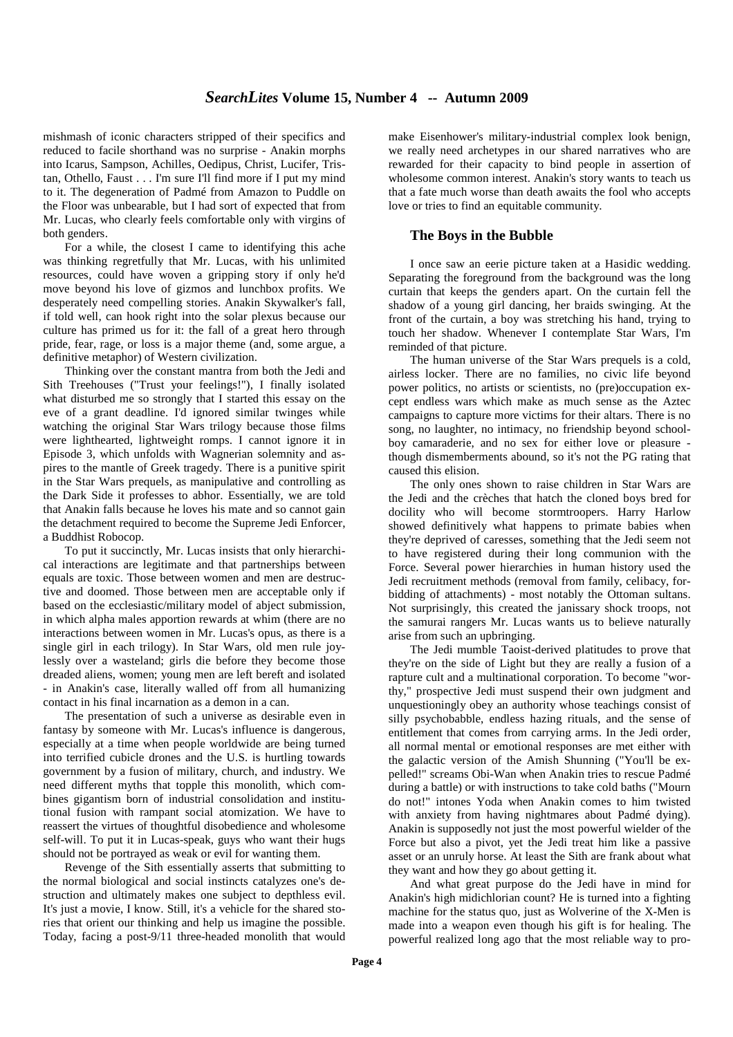mishmash of iconic characters stripped of their specifics and reduced to facile shorthand was no surprise - Anakin morphs into Icarus, Sampson, Achilles, Oedipus, Christ, Lucifer, Tristan, Othello, Faust . . . I'm sure I'll find more if I put my mind to it. The degeneration of Padmé from Amazon to Puddle on the Floor was unbearable, but I had sort of expected that from Mr. Lucas, who clearly feels comfortable only with virgins of both genders.

For a while, the closest I came to identifying this ache was thinking regretfully that Mr. Lucas, with his unlimited resources, could have woven a gripping story if only he'd move beyond his love of gizmos and lunchbox profits. We desperately need compelling stories. Anakin Skywalker's fall, if told well, can hook right into the solar plexus because our culture has primed us for it: the fall of a great hero through pride, fear, rage, or loss is a major theme (and, some argue, a definitive metaphor) of Western civilization.

Thinking over the constant mantra from both the Jedi and Sith Treehouses ("Trust your feelings!"), I finally isolated what disturbed me so strongly that I started this essay on the eve of a grant deadline. I'd ignored similar twinges while watching the original Star Wars trilogy because those films were lighthearted, lightweight romps. I cannot ignore it in Episode 3, which unfolds with Wagnerian solemnity and aspires to the mantle of Greek tragedy. There is a punitive spirit in the Star Wars prequels, as manipulative and controlling as the Dark Side it professes to abhor. Essentially, we are told that Anakin falls because he loves his mate and so cannot gain the detachment required to become the Supreme Jedi Enforcer, a Buddhist Robocop.

To put it succinctly, Mr. Lucas insists that only hierarchical interactions are legitimate and that partnerships between equals are toxic. Those between women and men are destructive and doomed. Those between men are acceptable only if based on the ecclesiastic/military model of abject submission, in which alpha males apportion rewards at whim (there are no interactions between women in Mr. Lucas's opus, as there is a single girl in each trilogy). In Star Wars, old men rule joylessly over a wasteland; girls die before they become those dreaded aliens, women; young men are left bereft and isolated - in Anakin's case, literally walled off from all humanizing contact in his final incarnation as a demon in a can.

The presentation of such a universe as desirable even in fantasy by someone with Mr. Lucas's influence is dangerous, especially at a time when people worldwide are being turned into terrified cubicle drones and the U.S. is hurtling towards government by a fusion of military, church, and industry. We need different myths that topple this monolith, which combines gigantism born of industrial consolidation and institutional fusion with rampant social atomization. We have to reassert the virtues of thoughtful disobedience and wholesome self-will. To put it in Lucas-speak, guys who want their hugs should not be portrayed as weak or evil for wanting them.

Revenge of the Sith essentially asserts that submitting to the normal biological and social instincts catalyzes one's destruction and ultimately makes one subject to depthless evil. It's just a movie, I know. Still, it's a vehicle for the shared stories that orient our thinking and help us imagine the possible. Today, facing a post-9/11 three-headed monolith that would

make Eisenhower's military-industrial complex look benign, we really need archetypes in our shared narratives who are rewarded for their capacity to bind people in assertion of wholesome common interest. Anakin's story wants to teach us that a fate much worse than death awaits the fool who accepts love or tries to find an equitable community.

#### **The Boys in the Bubble**

I once saw an eerie picture taken at a Hasidic wedding. Separating the foreground from the background was the long curtain that keeps the genders apart. On the curtain fell the shadow of a young girl dancing, her braids swinging. At the front of the curtain, a boy was stretching his hand, trying to touch her shadow. Whenever I contemplate Star Wars, I'm reminded of that picture.

The human universe of the Star Wars prequels is a cold, airless locker. There are no families, no civic life beyond power politics, no artists or scientists, no (pre)occupation except endless wars which make as much sense as the Aztec campaigns to capture more victims for their altars. There is no song, no laughter, no intimacy, no friendship beyond schoolboy camaraderie, and no sex for either love or pleasure though dismemberments abound, so it's not the PG rating that caused this elision.

The only ones shown to raise children in Star Wars are the Jedi and the crèches that hatch the cloned boys bred for docility who will become stormtroopers. Harry Harlow showed definitively what happens to primate babies when they're deprived of caresses, something that the Jedi seem not to have registered during their long communion with the Force. Several power hierarchies in human history used the Jedi recruitment methods (removal from family, celibacy, forbidding of attachments) - most notably the Ottoman sultans. Not surprisingly, this created the janissary shock troops, not the samurai rangers Mr. Lucas wants us to believe naturally arise from such an upbringing.

The Jedi mumble Taoist-derived platitudes to prove that they're on the side of Light but they are really a fusion of a rapture cult and a multinational corporation. To become "worthy," prospective Jedi must suspend their own judgment and unquestioningly obey an authority whose teachings consist of silly psychobabble, endless hazing rituals, and the sense of entitlement that comes from carrying arms. In the Jedi order, all normal mental or emotional responses are met either with the galactic version of the Amish Shunning ("You'll be expelled!" screams Obi-Wan when Anakin tries to rescue Padmé during a battle) or with instructions to take cold baths ("Mourn do not!" intones Yoda when Anakin comes to him twisted with anxiety from having nightmares about Padmé dying). Anakin is supposedly not just the most powerful wielder of the Force but also a pivot, yet the Jedi treat him like a passive asset or an unruly horse. At least the Sith are frank about what they want and how they go about getting it.

And what great purpose do the Jedi have in mind for Anakin's high midichlorian count? He is turned into a fighting machine for the status quo, just as Wolverine of the X-Men is made into a weapon even though his gift is for healing. The powerful realized long ago that the most reliable way to pro-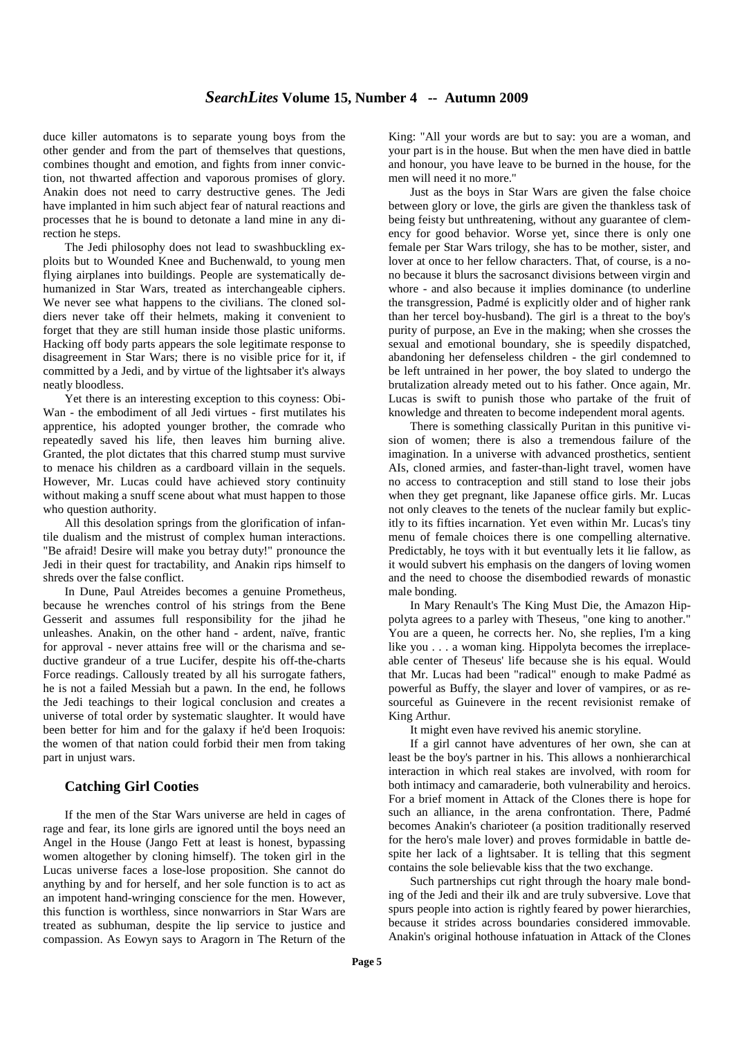duce killer automatons is to separate young boys from the other gender and from the part of themselves that questions, combines thought and emotion, and fights from inner conviction, not thwarted affection and vaporous promises of glory. Anakin does not need to carry destructive genes. The Jedi have implanted in him such abject fear of natural reactions and processes that he is bound to detonate a land mine in any direction he steps.

The Jedi philosophy does not lead to swashbuckling exploits but to Wounded Knee and Buchenwald, to young men flying airplanes into buildings. People are systematically dehumanized in Star Wars, treated as interchangeable ciphers. We never see what happens to the civilians. The cloned soldiers never take off their helmets, making it convenient to forget that they are still human inside those plastic uniforms. Hacking off body parts appears the sole legitimate response to disagreement in Star Wars; there is no visible price for it, if committed by a Jedi, and by virtue of the lightsaber it's always neatly bloodless.

Yet there is an interesting exception to this coyness: Obi-Wan - the embodiment of all Jedi virtues - first mutilates his apprentice, his adopted younger brother, the comrade who repeatedly saved his life, then leaves him burning alive. Granted, the plot dictates that this charred stump must survive to menace his children as a cardboard villain in the sequels. However, Mr. Lucas could have achieved story continuity without making a snuff scene about what must happen to those who question authority.

All this desolation springs from the glorification of infantile dualism and the mistrust of complex human interactions. "Be afraid! Desire will make you betray duty!" pronounce the Jedi in their quest for tractability, and Anakin rips himself to shreds over the false conflict.

In Dune, Paul Atreides becomes a genuine Prometheus, because he wrenches control of his strings from the Bene Gesserit and assumes full responsibility for the jihad he unleashes. Anakin, on the other hand - ardent, naïve, frantic for approval - never attains free will or the charisma and seductive grandeur of a true Lucifer, despite his off-the-charts Force readings. Callously treated by all his surrogate fathers, he is not a failed Messiah but a pawn. In the end, he follows the Jedi teachings to their logical conclusion and creates a universe of total order by systematic slaughter. It would have been better for him and for the galaxy if he'd been Iroquois: the women of that nation could forbid their men from taking part in unjust wars.

## **Catching Girl Cooties**

If the men of the Star Wars universe are held in cages of rage and fear, its lone girls are ignored until the boys need an Angel in the House (Jango Fett at least is honest, bypassing women altogether by cloning himself). The token girl in the Lucas universe faces a lose-lose proposition. She cannot do anything by and for herself, and her sole function is to act as an impotent hand-wringing conscience for the men. However, this function is worthless, since nonwarriors in Star Wars are treated as subhuman, despite the lip service to justice and compassion. As Eowyn says to Aragorn in The Return of the King: "All your words are but to say: you are a woman, and your part is in the house. But when the men have died in battle and honour, you have leave to be burned in the house, for the men will need it no more."

Just as the boys in Star Wars are given the false choice between glory or love, the girls are given the thankless task of being feisty but unthreatening, without any guarantee of clemency for good behavior. Worse yet, since there is only one female per Star Wars trilogy, she has to be mother, sister, and lover at once to her fellow characters. That, of course, is a nono because it blurs the sacrosanct divisions between virgin and whore - and also because it implies dominance (to underline the transgression, Padmé is explicitly older and of higher rank than her tercel boy-husband). The girl is a threat to the boy's purity of purpose, an Eve in the making; when she crosses the sexual and emotional boundary, she is speedily dispatched, abandoning her defenseless children - the girl condemned to be left untrained in her power, the boy slated to undergo the brutalization already meted out to his father. Once again, Mr. Lucas is swift to punish those who partake of the fruit of knowledge and threaten to become independent moral agents.

There is something classically Puritan in this punitive vision of women; there is also a tremendous failure of the imagination. In a universe with advanced prosthetics, sentient AIs, cloned armies, and faster-than-light travel, women have no access to contraception and still stand to lose their jobs when they get pregnant, like Japanese office girls. Mr. Lucas not only cleaves to the tenets of the nuclear family but explicitly to its fifties incarnation. Yet even within Mr. Lucas's tiny menu of female choices there is one compelling alternative. Predictably, he toys with it but eventually lets it lie fallow, as it would subvert his emphasis on the dangers of loving women and the need to choose the disembodied rewards of monastic male bonding.

In Mary Renault's The King Must Die, the Amazon Hippolyta agrees to a parley with Theseus, "one king to another." You are a queen, he corrects her. No, she replies, I'm a king like you . . . a woman king. Hippolyta becomes the irreplaceable center of Theseus' life because she is his equal. Would that Mr. Lucas had been "radical" enough to make Padmé as powerful as Buffy, the slayer and lover of vampires, or as resourceful as Guinevere in the recent revisionist remake of King Arthur.

It might even have revived his anemic storyline.

If a girl cannot have adventures of her own, she can at least be the boy's partner in his. This allows a nonhierarchical interaction in which real stakes are involved, with room for both intimacy and camaraderie, both vulnerability and heroics. For a brief moment in Attack of the Clones there is hope for such an alliance, in the arena confrontation. There, Padmé becomes Anakin's charioteer (a position traditionally reserved for the hero's male lover) and proves formidable in battle despite her lack of a lightsaber. It is telling that this segment contains the sole believable kiss that the two exchange.

Such partnerships cut right through the hoary male bonding of the Jedi and their ilk and are truly subversive. Love that spurs people into action is rightly feared by power hierarchies, because it strides across boundaries considered immovable. Anakin's original hothouse infatuation in Attack of the Clones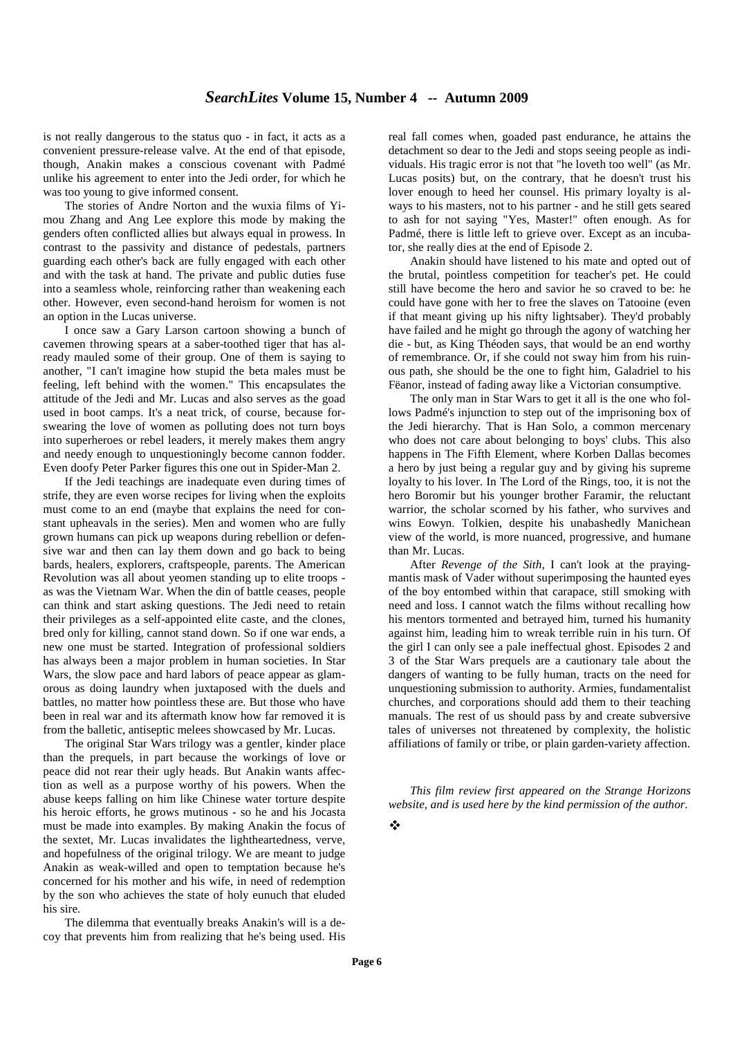is not really dangerous to the status quo - in fact, it acts as a convenient pressure-release valve. At the end of that episode, though, Anakin makes a conscious covenant with Padmé unlike his agreement to enter into the Jedi order, for which he was too young to give informed consent.

The stories of Andre Norton and the wuxia films of Yimou Zhang and Ang Lee explore this mode by making the genders often conflicted allies but always equal in prowess. In contrast to the passivity and distance of pedestals, partners guarding each other's back are fully engaged with each other and with the task at hand. The private and public duties fuse into a seamless whole, reinforcing rather than weakening each other. However, even second-hand heroism for women is not an option in the Lucas universe.

I once saw a Gary Larson cartoon showing a bunch of cavemen throwing spears at a saber-toothed tiger that has already mauled some of their group. One of them is saying to another, "I can't imagine how stupid the beta males must be feeling, left behind with the women." This encapsulates the attitude of the Jedi and Mr. Lucas and also serves as the goad used in boot camps. It's a neat trick, of course, because forswearing the love of women as polluting does not turn boys into superheroes or rebel leaders, it merely makes them angry and needy enough to unquestioningly become cannon fodder. Even doofy Peter Parker figures this one out in Spider-Man 2.

If the Jedi teachings are inadequate even during times of strife, they are even worse recipes for living when the exploits must come to an end (maybe that explains the need for constant upheavals in the series). Men and women who are fully grown humans can pick up weapons during rebellion or defensive war and then can lay them down and go back to being bards, healers, explorers, craftspeople, parents. The American Revolution was all about yeomen standing up to elite troops as was the Vietnam War. When the din of battle ceases, people can think and start asking questions. The Jedi need to retain their privileges as a self-appointed elite caste, and the clones, bred only for killing, cannot stand down. So if one war ends, a new one must be started. Integration of professional soldiers has always been a major problem in human societies. In Star Wars, the slow pace and hard labors of peace appear as glamorous as doing laundry when juxtaposed with the duels and battles, no matter how pointless these are. But those who have been in real war and its aftermath know how far removed it is from the balletic, antiseptic melees showcased by Mr. Lucas.

The original Star Wars trilogy was a gentler, kinder place than the prequels, in part because the workings of love or peace did not rear their ugly heads. But Anakin wants affection as well as a purpose worthy of his powers. When the abuse keeps falling on him like Chinese water torture despite his heroic efforts, he grows mutinous - so he and his Jocasta must be made into examples. By making Anakin the focus of the sextet, Mr. Lucas invalidates the lightheartedness, verve, and hopefulness of the original trilogy. We are meant to judge Anakin as weak-willed and open to temptation because he's concerned for his mother and his wife, in need of redemption by the son who achieves the state of holy eunuch that eluded his sire.

The dilemma that eventually breaks Anakin's will is a decoy that prevents him from realizing that he's being used. His

real fall comes when, goaded past endurance, he attains the detachment so dear to the Jedi and stops seeing people as individuals. His tragic error is not that "he loveth too well" (as Mr. Lucas posits) but, on the contrary, that he doesn't trust his lover enough to heed her counsel. His primary loyalty is always to his masters, not to his partner - and he still gets seared to ash for not saying "Yes, Master!" often enough. As for Padmé, there is little left to grieve over. Except as an incubator, she really dies at the end of Episode 2.

Anakin should have listened to his mate and opted out of the brutal, pointless competition for teacher's pet. He could still have become the hero and savior he so craved to be: he could have gone with her to free the slaves on Tatooine (even if that meant giving up his nifty lightsaber). They'd probably have failed and he might go through the agony of watching her die - but, as King Théoden says, that would be an end worthy of remembrance. Or, if she could not sway him from his ruinous path, she should be the one to fight him, Galadriel to his Fëanor, instead of fading away like a Victorian consumptive.

The only man in Star Wars to get it all is the one who follows Padmé's injunction to step out of the imprisoning box of the Jedi hierarchy. That is Han Solo, a common mercenary who does not care about belonging to boys' clubs. This also happens in The Fifth Element, where Korben Dallas becomes a hero by just being a regular guy and by giving his supreme loyalty to his lover. In The Lord of the Rings, too, it is not the hero Boromir but his younger brother Faramir, the reluctant warrior, the scholar scorned by his father, who survives and wins Eowyn. Tolkien, despite his unabashedly Manichean view of the world, is more nuanced, progressive, and humane than Mr. Lucas.

After *Revenge of the Sith*, I can't look at the prayingmantis mask of Vader without superimposing the haunted eyes of the boy entombed within that carapace, still smoking with need and loss. I cannot watch the films without recalling how his mentors tormented and betrayed him, turned his humanity against him, leading him to wreak terrible ruin in his turn. Of the girl I can only see a pale ineffectual ghost. Episodes 2 and 3 of the Star Wars prequels are a cautionary tale about the dangers of wanting to be fully human, tracts on the need for unquestioning submission to authority. Armies, fundamentalist churches, and corporations should add them to their teaching manuals. The rest of us should pass by and create subversive tales of universes not threatened by complexity, the holistic affiliations of family or tribe, or plain garden-variety affection.

*This film review first appeared on the Strange Horizons website, and is used here by the kind permission of the author.*

❖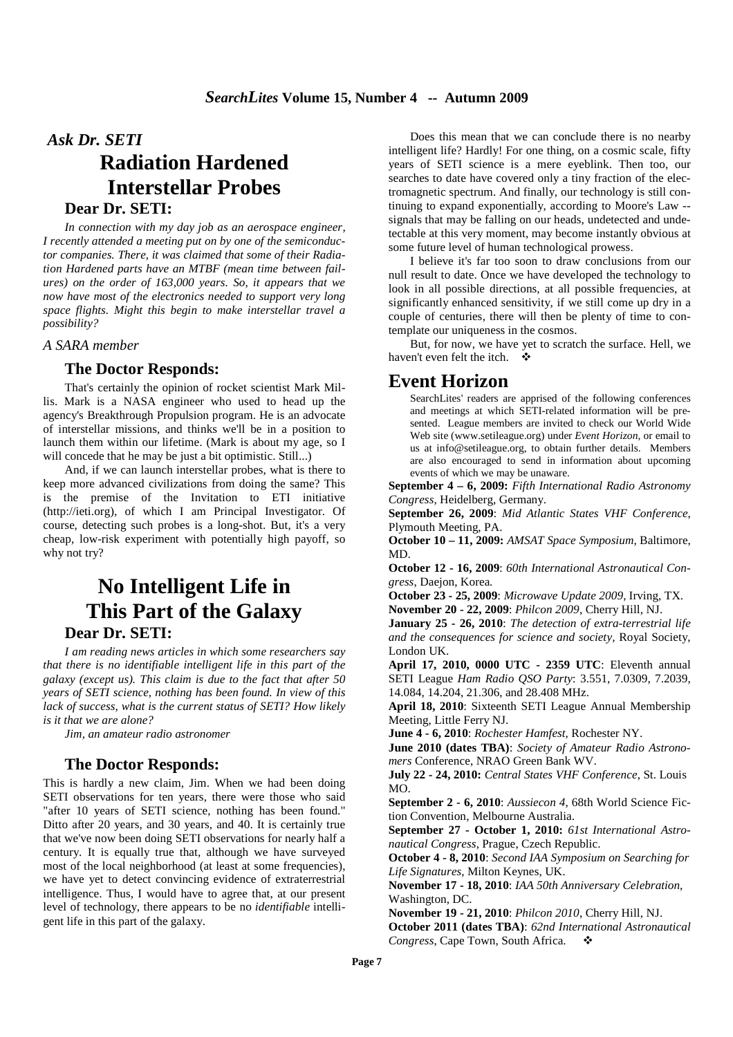# *Ask Dr. SETI* **Radiation Hardened Interstellar Probes Dear Dr. SETI:**

*In connection with my day job as an aerospace engineer, I recently attended a meeting put on by one of the semiconductor companies. There, it was claimed that some of their Radiation Hardened parts have an MTBF (mean time between failures) on the order of 163,000 years. So, it appears that we now have most of the electronics needed to support very long space flights. Might this begin to make interstellar travel a possibility?* 

#### *A SARA member*

#### **The Doctor Responds:**

That's certainly the opinion of rocket scientist Mark Millis. Mark is a NASA engineer who used to head up the agency's Breakthrough Propulsion program. He is an advocate of interstellar missions, and thinks we'll be in a position to launch them within our lifetime. (Mark is about my age, so I will concede that he may be just a bit optimistic. Still...)

And, if we can launch interstellar probes, what is there to keep more advanced civilizations from doing the same? This is the premise of the Invitation to ETI initiative (http://ieti.org), of which I am Principal Investigator. Of course, detecting such probes is a long-shot. But, it's a very cheap, low-risk experiment with potentially high payoff, so why not try?

# **No Intelligent Life in This Part of the Galaxy Dear Dr. SETI:**

 *I am reading news articles in which some researchers say that there is no identifiable intelligent life in this part of the galaxy (except us). This claim is due to the fact that after 50 years of SETI science, nothing has been found. In view of this lack of success, what is the current status of SETI? How likely is it that we are alone?* 

*Jim, an amateur radio astronomer*

## **The Doctor Responds:**

This is hardly a new claim, Jim. When we had been doing SETI observations for ten years, there were those who said "after 10 years of SETI science, nothing has been found." Ditto after 20 years, and 30 years, and 40. It is certainly true that we've now been doing SETI observations for nearly half a century. It is equally true that, although we have surveyed most of the local neighborhood (at least at some frequencies), we have yet to detect convincing evidence of extraterrestrial intelligence. Thus, I would have to agree that, at our present level of technology, there appears to be no *identifiable* intelligent life in this part of the galaxy.

Does this mean that we can conclude there is no nearby intelligent life? Hardly! For one thing, on a cosmic scale, fifty years of SETI science is a mere eyeblink. Then too, our searches to date have covered only a tiny fraction of the electromagnetic spectrum. And finally, our technology is still continuing to expand exponentially, according to Moore's Law - signals that may be falling on our heads, undetected and undetectable at this very moment, may become instantly obvious at some future level of human technological prowess.

I believe it's far too soon to draw conclusions from our null result to date. Once we have developed the technology to look in all possible directions, at all possible frequencies, at significantly enhanced sensitivity, if we still come up dry in a couple of centuries, there will then be plenty of time to contemplate our uniqueness in the cosmos.

But, for now, we have yet to scratch the surface. Hell, we haven't even felt the itch.

## **Event Horizon**

SearchLites' readers are apprised of the following conferences and meetings at which SETI-related information will be presented. League members are invited to check our World Wide Web site (www.setileague.org) under *Event Horizon*, or email to us at info@setileague.org, to obtain further details. Members are also encouraged to send in information about upcoming events of which we may be unaware.

**September 4 – 6, 2009:** *Fifth International Radio Astronomy Congress,* Heidelberg, Germany.

**September 26, 2009**: *Mid Atlantic States VHF Conference*, Plymouth Meeting, PA.

**October 10 – 11, 2009:** *AMSAT Space Symposium*, Baltimore, MD.

**October 12 - 16, 2009**: *60th International Astronautical Congress*, Daejon, Korea.

**October 23 - 25, 2009**: *Microwave Update 2009*, Irving, TX.

**November 20 - 22, 2009**: *Philcon 2009*, Cherry Hill, NJ.

**January 25 - 26, 2010**: *The detection of extra-terrestrial life and the consequences for science and society,* Royal Society, London UK.

**April 17, 2010, 0000 UTC - 2359 UTC**: Eleventh annual SETI League *Ham Radio QSO Party*: 3.551, 7.0309, 7.2039, 14.084, 14.204, 21.306, and 28.408 MHz.

**April 18, 2010**: Sixteenth SETI League Annual Membership Meeting, Little Ferry NJ.

**June 4 - 6, 2010**: *Rochester Hamfest*, Rochester NY.

**June 2010 (dates TBA)**: *Society of Amateur Radio Astronomers* Conference, NRAO Green Bank WV.

**July 22 - 24, 2010:** *Central States VHF Conference*, St. Louis MO.

**September 2 - 6, 2010**: *Aussiecon 4*, 68th World Science Fiction Convention, Melbourne Australia.

**September 27 - October 1, 2010:** *61st International Astronautical Congress*, Prague, Czech Republic.

**October 4 - 8, 2010**: *Second IAA Symposium on Searching for Life Signatures*, Milton Keynes, UK.

**November 17 - 18, 2010**: *IAA 50th Anniversary Celebration*, Washington, DC.

**November 19 - 21, 2010**: *Philcon 2010*, Cherry Hill, NJ.

**October 2011 (dates TBA)**: *62nd International Astronautical Congress*, Cape Town, South Africa.